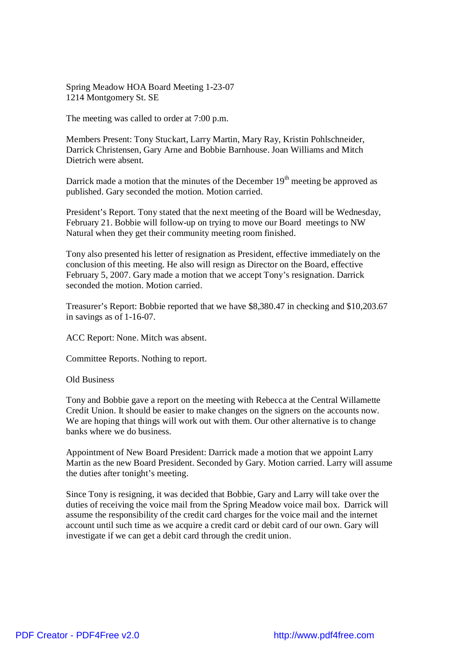Spring Meadow HOA Board Meeting 1-23-07 1214 Montgomery St. SE

The meeting was called to order at 7:00 p.m.

Members Present: Tony Stuckart, Larry Martin, Mary Ray, Kristin Pohlschneider, Darrick Christensen, Gary Arne and Bobbie Barnhouse. Joan Williams and Mitch Dietrich were absent.

Darrick made a motion that the minutes of the December 19<sup>th</sup> meeting be approved as published. Gary seconded the motion. Motion carried.

President's Report. Tony stated that the next meeting of the Board will be Wednesday, February 21. Bobbie will follow-up on trying to move our Board meetings to NW Natural when they get their community meeting room finished.

Tony also presented his letter of resignation as President, effective immediately on the conclusion of this meeting. He also will resign as Director on the Board, effective February 5, 2007. Gary made a motion that we accept Tony's resignation. Darrick seconded the motion. Motion carried.

Treasurer's Report: Bobbie reported that we have \$8,380.47 in checking and \$10,203.67 in savings as of 1-16-07.

ACC Report: None. Mitch was absent.

Committee Reports. Nothing to report.

Old Business

Tony and Bobbie gave a report on the meeting with Rebecca at the Central Willamette Credit Union. It should be easier to make changes on the signers on the accounts now. We are hoping that things will work out with them. Our other alternative is to change banks where we do business.

Appointment of New Board President: Darrick made a motion that we appoint Larry Martin as the new Board President. Seconded by Gary. Motion carried. Larry will assume the duties after tonight's meeting.

Since Tony is resigning, it was decided that Bobbie, Gary and Larry will take over the duties of receiving the voice mail from the Spring Meadow voice mail box. Darrick will assume the responsibility of the credit card charges for the voice mail and the internet account until such time as we acquire a credit card or debit card of our own. Gary will investigate if we can get a debit card through the credit union.